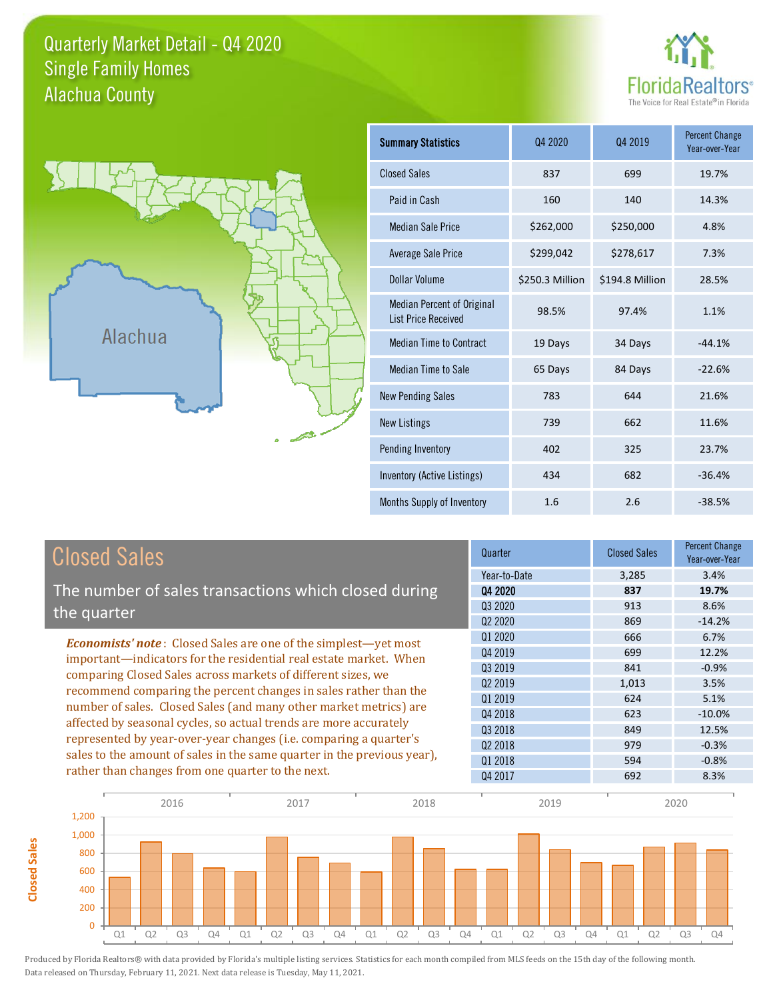### Quarterly Market Detail - Q4 2020 Alachua County Single Family Homes





**Closed Sales**

**Closed Sales** 

| <b>Summary Statistics</b>                                       | Q4 2020         | 04 2019         | <b>Percent Change</b><br>Year-over-Year |
|-----------------------------------------------------------------|-----------------|-----------------|-----------------------------------------|
| <b>Closed Sales</b>                                             | 837             | 699             | 19.7%                                   |
| Paid in Cash                                                    | 160             | 140             | 14.3%                                   |
| <b>Median Sale Price</b>                                        | \$262,000       | \$250,000       | 4.8%                                    |
| <b>Average Sale Price</b>                                       | \$299,042       | \$278,617       | 7.3%                                    |
| <b>Dollar Volume</b>                                            | \$250.3 Million | \$194.8 Million | 28.5%                                   |
| <b>Median Percent of Original</b><br><b>List Price Received</b> | 98.5%           | 97.4%           | 1.1%                                    |
| <b>Median Time to Contract</b>                                  | 19 Days         | 34 Days         | $-44.1%$                                |
| <b>Median Time to Sale</b>                                      | 65 Days         | 84 Days         | $-22.6%$                                |
| <b>New Pending Sales</b>                                        | 783             | 644             | 21.6%                                   |
| <b>New Listings</b>                                             | 739             | 662             | 11.6%                                   |
| Pending Inventory                                               | 402             | 325             | 23.7%                                   |
| Inventory (Active Listings)                                     | 434             | 682             | $-36.4%$                                |
| Months Supply of Inventory                                      | 1.6             | 2.6             | $-38.5%$                                |

| <b>Closed Sales</b>                                                                                                                                                                                                                                                             | Quarter                         | <b>Closed Sales</b> | Percent Change<br>Year-over-Year |
|---------------------------------------------------------------------------------------------------------------------------------------------------------------------------------------------------------------------------------------------------------------------------------|---------------------------------|---------------------|----------------------------------|
|                                                                                                                                                                                                                                                                                 | Year-to-Date                    | 3.285               | 3.4%                             |
| The number of sales transactions which closed during                                                                                                                                                                                                                            | 04 2020                         | 837                 | 19.7%                            |
|                                                                                                                                                                                                                                                                                 | Q3 2020                         | 913                 | 8.6%                             |
| the quarter                                                                                                                                                                                                                                                                     | Q <sub>2</sub> 20 <sub>20</sub> | 869                 | $-14.2%$                         |
| <b>Economists' note:</b> Closed Sales are one of the simplest—yet most<br>important—indicators for the residential real estate market. When<br>comparing Closed Sales across markets of different sizes, we<br>recommend comparing the percent changes in sales rather than the | Q1 2020                         | 666                 | 6.7%                             |
|                                                                                                                                                                                                                                                                                 | Q4 2019                         | 699                 | 12.2%                            |
|                                                                                                                                                                                                                                                                                 | Q3 2019                         | 841                 | $-0.9%$                          |
|                                                                                                                                                                                                                                                                                 | 02 2019                         | 1,013               | 3.5%                             |
|                                                                                                                                                                                                                                                                                 | 01 2019                         | 624                 | 5.1%                             |
| number of sales. Closed Sales (and many other market metrics) are                                                                                                                                                                                                               | Q4 2018                         | 623                 | $-10.0\%$                        |
| affected by seasonal cycles, so actual trends are more accurately                                                                                                                                                                                                               | Q3 2018                         | 849                 | 12.5%                            |
| represented by year-over-year changes (i.e. comparing a quarter's                                                                                                                                                                                                               | 02 2018                         | 979                 | $-0.3%$                          |
| sales to the amount of sales in the same quarter in the previous year),                                                                                                                                                                                                         | 01 2018                         | 594                 | $-0.8%$                          |
| rather than changes from one quarter to the next.                                                                                                                                                                                                                               | Q4 2017                         | 692                 | 8.3%                             |

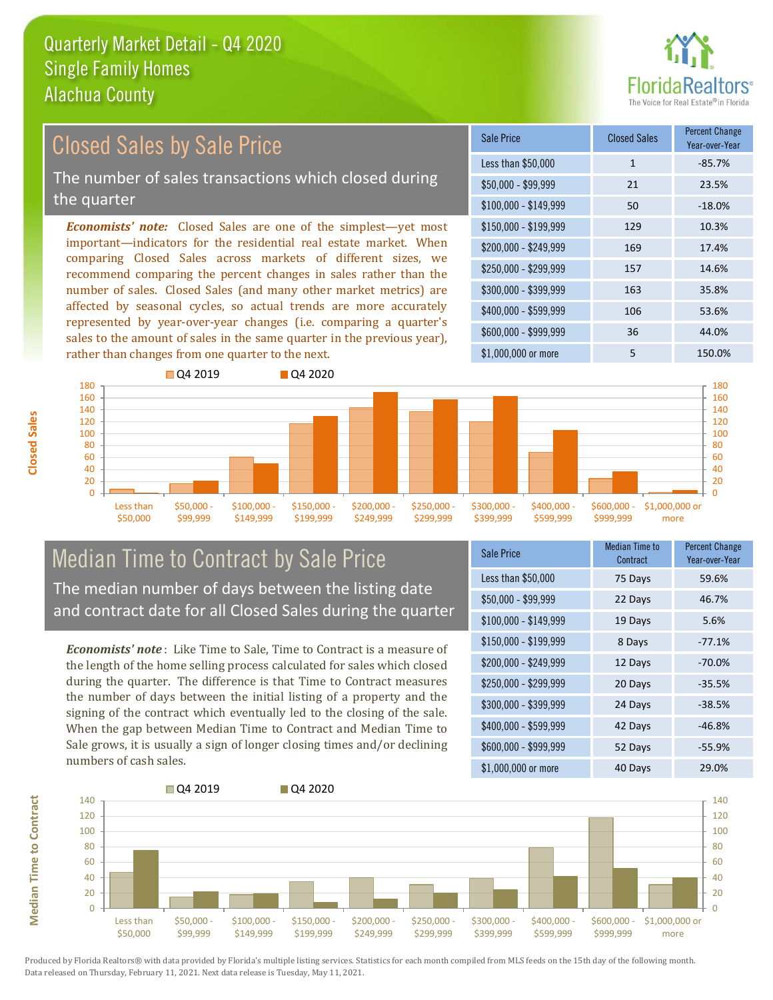

| <b>Closed Sales by Sale Price</b>                                                                                                      | <b>Sale Price</b>     | <b>Closed Sales</b> | <b>Percent Change</b><br>Year-over-Year |
|----------------------------------------------------------------------------------------------------------------------------------------|-----------------------|---------------------|-----------------------------------------|
|                                                                                                                                        | Less than \$50,000    | $\mathbf{1}$        | $-85.7%$                                |
| The number of sales transactions which closed during                                                                                   | $$50,000 - $99,999$   | 21                  | 23.5%                                   |
| the quarter                                                                                                                            | $$100,000 - $149,999$ | 50                  | $-18.0%$                                |
| <b>Economists' note:</b> Closed Sales are one of the simplest—yet most                                                                 | $$150,000 - $199,999$ | 129                 | 10.3%                                   |
| important—indicators for the residential real estate market. When<br>comparing Closed Sales across markets of different sizes, we      | $$200,000 - $249,999$ | 169                 | 17.4%                                   |
| recommend comparing the percent changes in sales rather than the                                                                       | \$250,000 - \$299,999 | 157                 | 14.6%                                   |
| number of sales. Closed Sales (and many other market metrics) are                                                                      | \$300,000 - \$399,999 | 163                 | 35.8%                                   |
| affected by seasonal cycles, so actual trends are more accurately<br>represented by year-over-year changes (i.e. comparing a quarter's | \$400,000 - \$599,999 | 106                 | 53.6%                                   |
| sales to the amount of sales in the same quarter in the previous year),                                                                | \$600,000 - \$999,999 | 36                  | 44.0%                                   |
| rather than changes from one quarter to the next.                                                                                      | \$1,000,000 or more   | 5                   | 150.0%                                  |
| $\Box$ Q4 2019<br><b>Q4 2020</b><br>180<br>160<br>140                                                                                  |                       |                     | 180<br>160<br>140                       |



\$100,000 - \$149,999

\$150,000 - \$199,999

\$200,000 - \$249,999

\$250,000 - \$299,999

\$300,000 - \$399,999

\$400,000 - \$599,999

*Economists' note* : Like Time to Sale, Time to Contract is a measure of the length of the home selling process calculated for sales which closed during the quarter. The difference is that Time to Contract measures the number of days between the initial listing of a property and the signing of the contract which eventually led to the closing of the sale. When the gap between Median Time to Contract and Median Time to Sale grows, it is usually a sign of longer closing times and/or declining numbers of cash sales.

| Sale Price            | <b>Median Time to</b><br>Contract | <b>Percent Change</b><br>Year-over-Year |
|-----------------------|-----------------------------------|-----------------------------------------|
| Less than \$50,000    | 75 Days                           | 59.6%                                   |
| $$50,000 - $99,999$   | 22 Days                           | 46.7%                                   |
| $$100,000 - $149,999$ | 19 Days                           | 5.6%                                    |
| \$150,000 - \$199,999 | 8 Days                            | $-77.1%$                                |
| \$200,000 - \$249,999 | 12 Days                           | $-70.0\%$                               |
| \$250,000 - \$299,999 | 20 Days                           | $-35.5%$                                |
| \$300,000 - \$399,999 | 24 Days                           | $-38.5%$                                |
| \$400,000 - \$599,999 | 42 Days                           | $-46.8%$                                |
| \$600,000 - \$999,999 | 52 Days                           | $-55.9%$                                |
| \$1,000,000 or more   | 40 Days                           | 29.0%                                   |

\$600,000 - \$999,999

\$1,000,000 or more



**Closed Sales**

> Less than \$50,000

\$50,000 - \$99,999

**Median Time to Contract Median Time to Contract**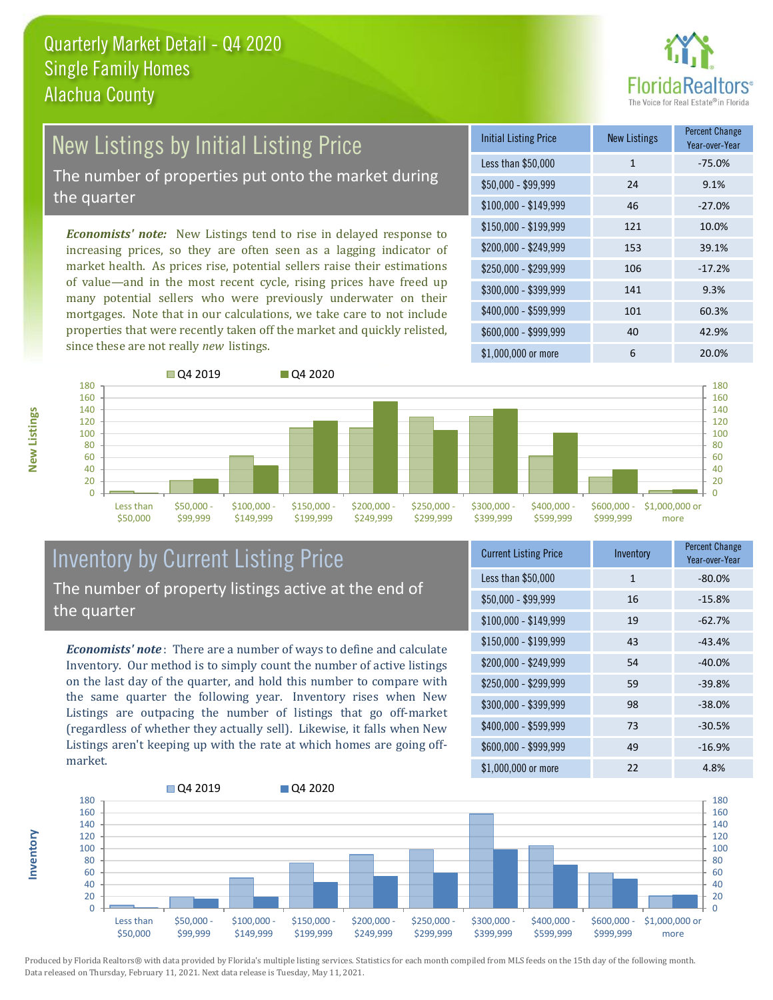

# New Listings by Initial Listing Price

The number of properties put onto the market during the quarter

*Economists' note:* New Listings tend to rise in delayed response to increasing prices, so they are often seen as a lagging indicator of market health. As prices rise, potential sellers raise their estimations of value—and in the most recent cycle, rising prices have freed up many potential sellers who were previously underwater on their mortgages. Note that in our calculations, we take care to not include properties that were recently taken off the market and quickly relisted, since these are not really *new* listings.





#### Inventory by Current Listing Price The number of property listings active at the end of the quarter

*Economists' note* : There are a number of ways to define and calculate Inventory. Our method is to simply count the number of active listings on the last day of the quarter, and hold this number to compare with the same quarter the following year. Inventory rises when New Listings are outpacing the number of listings that go off-market (regardless of whether they actually sell). Likewise, it falls when New Listings aren't keeping up with the rate at which homes are going offmarket.

| <b>Current Listing Price</b> | Inventory    | <b>Percent Change</b><br>Year-over-Year |
|------------------------------|--------------|-----------------------------------------|
| Less than \$50,000           | $\mathbf{1}$ | $-80.0%$                                |
| $$50,000 - $99,999$          | 16           | $-15.8%$                                |
| $$100,000 - $149,999$        | 19           | $-62.7%$                                |
| \$150,000 - \$199,999        | 43           | $-43.4%$                                |
| \$200,000 - \$249,999        | 54           | $-40.0%$                                |
| \$250,000 - \$299,999        | 59           | $-39.8%$                                |
| \$300,000 - \$399,999        | 98           | $-38.0%$                                |
| \$400,000 - \$599,999        | 73           | $-30.5%$                                |
| \$600,000 - \$999,999        | 49           | $-16.9%$                                |
| \$1,000,000 or more          | 22           | 4.8%                                    |



Produced by Florida Realtors® with data provided by Florida's multiple listing services. Statistics for each month compiled from MLS feeds on the 15th day of the following month. Data released on Thursday, February 11, 2021. Next data release is Tuesday, May 11, 2021.

**Inventory**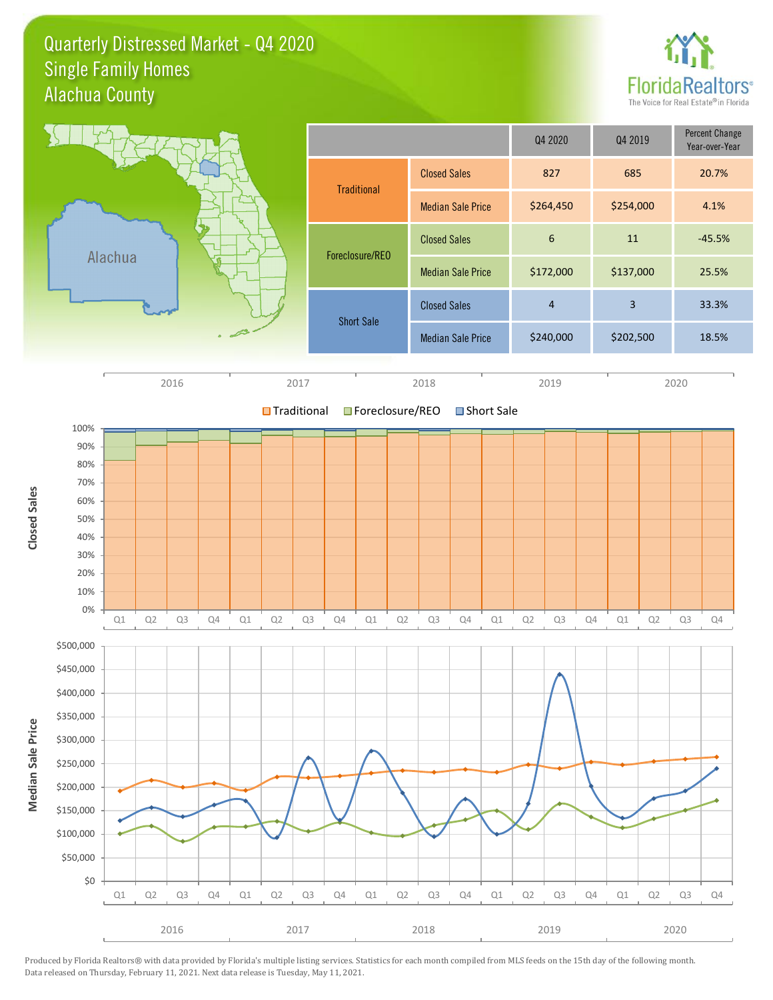#### Quarterly Distressed Market - Q4 2020 Alachua County Single Family Homes



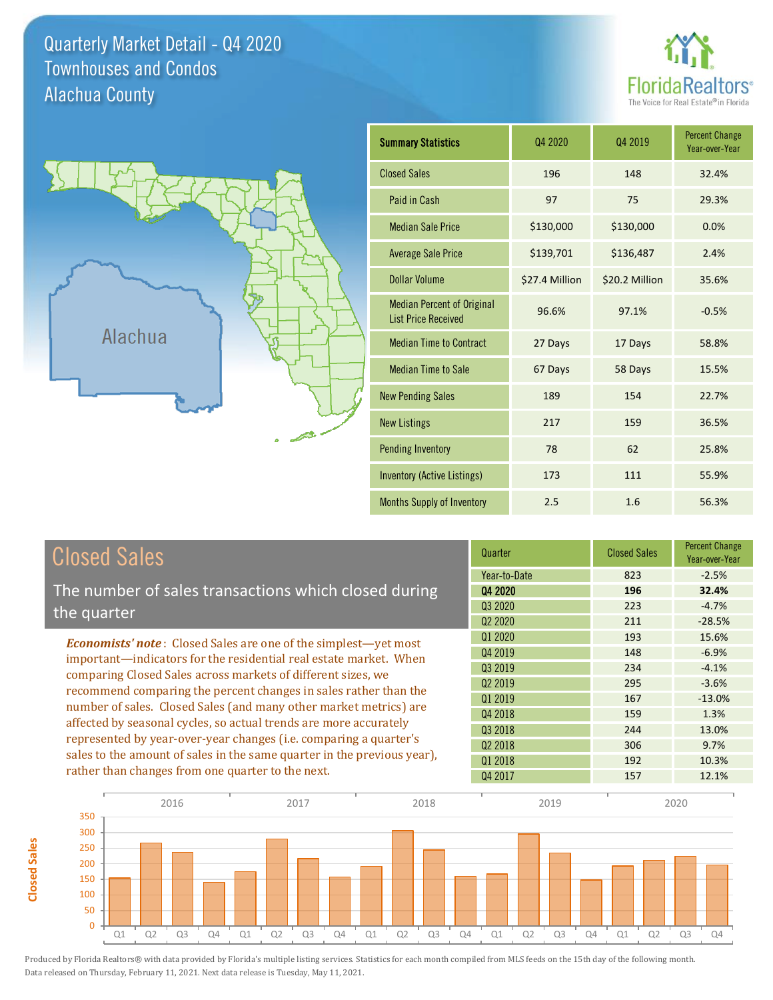Quarterly Market Detail - Q4 2020 Alachua County Townhouses and Condos

**Closed Sales**

**Closed Sales** 





| <b>Summary Statistics</b>                                       | Q4 2020        | Q4 2019        | <b>Percent Change</b><br>Year-over-Year |
|-----------------------------------------------------------------|----------------|----------------|-----------------------------------------|
| <b>Closed Sales</b>                                             | 196            | 148            | 32.4%                                   |
| Paid in Cash                                                    | 97             | 75             | 29.3%                                   |
| <b>Median Sale Price</b>                                        | \$130,000      | \$130,000      | 0.0%                                    |
| <b>Average Sale Price</b>                                       | \$139,701      | \$136,487      | 2.4%                                    |
| Dollar Volume                                                   | \$27.4 Million | \$20.2 Million | 35.6%                                   |
| <b>Median Percent of Original</b><br><b>List Price Received</b> | 96.6%          | 97.1%          | $-0.5%$                                 |
| <b>Median Time to Contract</b>                                  | 27 Days        | 17 Days        | 58.8%                                   |
| <b>Median Time to Sale</b>                                      | 67 Days        | 58 Days        | 15.5%                                   |
| <b>New Pending Sales</b>                                        | 189            | 154            | 22.7%                                   |
| <b>New Listings</b>                                             | 217            | 159            | 36.5%                                   |
| <b>Pending Inventory</b>                                        | 78             | 62             | 25.8%                                   |
| Inventory (Active Listings)                                     | 173            | 111            | 55.9%                                   |
| <b>Months Supply of Inventory</b>                               | 2.5            | 1.6            | 56.3%                                   |

| <b>Closed Sales</b>                                                                                                                                                                                                                                                                                                                             | Quarter             | <b>Closed Sales</b> | <b>Percent Change</b><br>Year-over-Year |
|-------------------------------------------------------------------------------------------------------------------------------------------------------------------------------------------------------------------------------------------------------------------------------------------------------------------------------------------------|---------------------|---------------------|-----------------------------------------|
|                                                                                                                                                                                                                                                                                                                                                 | Year-to-Date        | 823                 | $-2.5%$                                 |
| The number of sales transactions which closed during                                                                                                                                                                                                                                                                                            | Q4 2020             | 196                 | 32.4%                                   |
| the quarter                                                                                                                                                                                                                                                                                                                                     | 03 20 20            | 223                 | $-4.7%$                                 |
|                                                                                                                                                                                                                                                                                                                                                 | Q <sub>2</sub> 2020 | 211                 | $-28.5%$                                |
| <b>Economists' note:</b> Closed Sales are one of the simplest—yet most                                                                                                                                                                                                                                                                          | Q1 2020             | 193                 | 15.6%                                   |
| important—indicators for the residential real estate market. When<br>comparing Closed Sales across markets of different sizes, we<br>recommend comparing the percent changes in sales rather than the<br>number of sales. Closed Sales (and many other market metrics) are<br>affected by seasonal cycles, so actual trends are more accurately | Q4 2019             | 148                 | $-6.9%$                                 |
|                                                                                                                                                                                                                                                                                                                                                 | Q3 2019             | 234                 | $-4.1%$                                 |
|                                                                                                                                                                                                                                                                                                                                                 | Q <sub>2</sub> 2019 | 295                 | $-3.6%$                                 |
|                                                                                                                                                                                                                                                                                                                                                 | Q1 2019             | 167                 | $-13.0%$                                |
|                                                                                                                                                                                                                                                                                                                                                 | Q4 2018             | 159                 | 1.3%                                    |
|                                                                                                                                                                                                                                                                                                                                                 | Q3 2018             | 244                 | 13.0%                                   |
| represented by year-over-year changes (i.e. comparing a quarter's                                                                                                                                                                                                                                                                               | Q <sub>2</sub> 2018 | 306                 | 9.7%                                    |
| sales to the amount of sales in the same quarter in the previous year),                                                                                                                                                                                                                                                                         | Q1 2018             | 192                 | 10.3%                                   |
| rather than changes from one quarter to the next.                                                                                                                                                                                                                                                                                               | Q4 2017             | 157                 | 12.1%                                   |

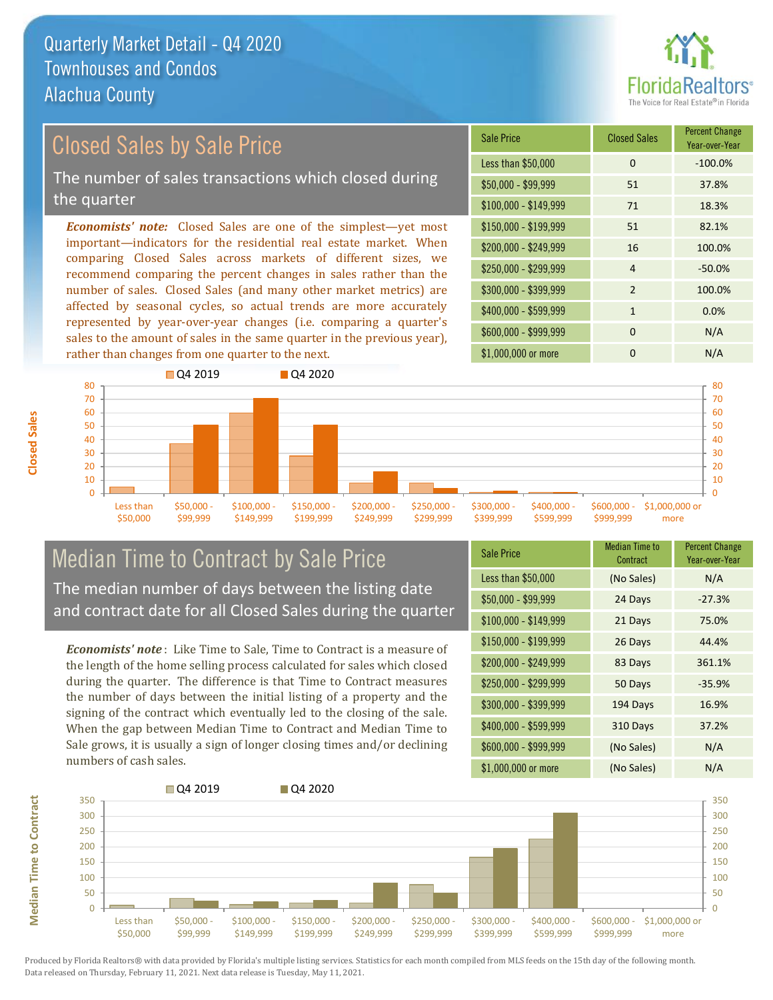

### Closed Sales by Sale Price

The number of sales transactions which closed during the quarter

*Economists' note:* Closed Sales are one of the simplest—yet most important—indicators for the residential real estate market. When comparing Closed Sales across markets of different sizes, we recommend comparing the percent changes in sales rather than the number of sales. Closed Sales (and many other market metrics) are affected by seasonal cycles, so actual trends are more accurately represented by year-over-year changes (i.e. comparing a quarter's sales to the amount of sales in the same quarter in the previous year), rather than changes from one quarter to the next.





#### Median Time to Contract by Sale Price The median number of days between the listing date and contract date for all Closed Sales during the quarter

*Economists' note* : Like Time to Sale, Time to Contract is a measure of the length of the home selling process calculated for sales which closed during the quarter. The difference is that Time to Contract measures the number of days between the initial listing of a property and the signing of the contract which eventually led to the closing of the sale. When the gap between Median Time to Contract and Median Time to Sale grows, it is usually a sign of longer closing times and/or declining numbers of cash sales.

| <b>Sale Price</b>     | Median Time to<br>Contract | <b>Percent Change</b><br>Year-over-Year |
|-----------------------|----------------------------|-----------------------------------------|
| Less than \$50,000    | (No Sales)                 | N/A                                     |
| $$50,000 - $99,999$   | 24 Days                    | $-27.3%$                                |
| $$100,000 - $149,999$ | 21 Days                    | 75.0%                                   |
| $$150,000 - $199,999$ | 26 Days                    | 44.4%                                   |
| $$200,000 - $249,999$ | 83 Days                    | 361.1%                                  |
| $$250,000 - $299,999$ | 50 Days                    | $-35.9%$                                |
| \$300,000 - \$399,999 | 194 Days                   | 16.9%                                   |
| \$400,000 - \$599,999 | 310 Days                   | 37.2%                                   |
| \$600,000 - \$999,999 | (No Sales)                 | N/A                                     |
| \$1,000,000 or more   | (No Sales)                 | N/A                                     |

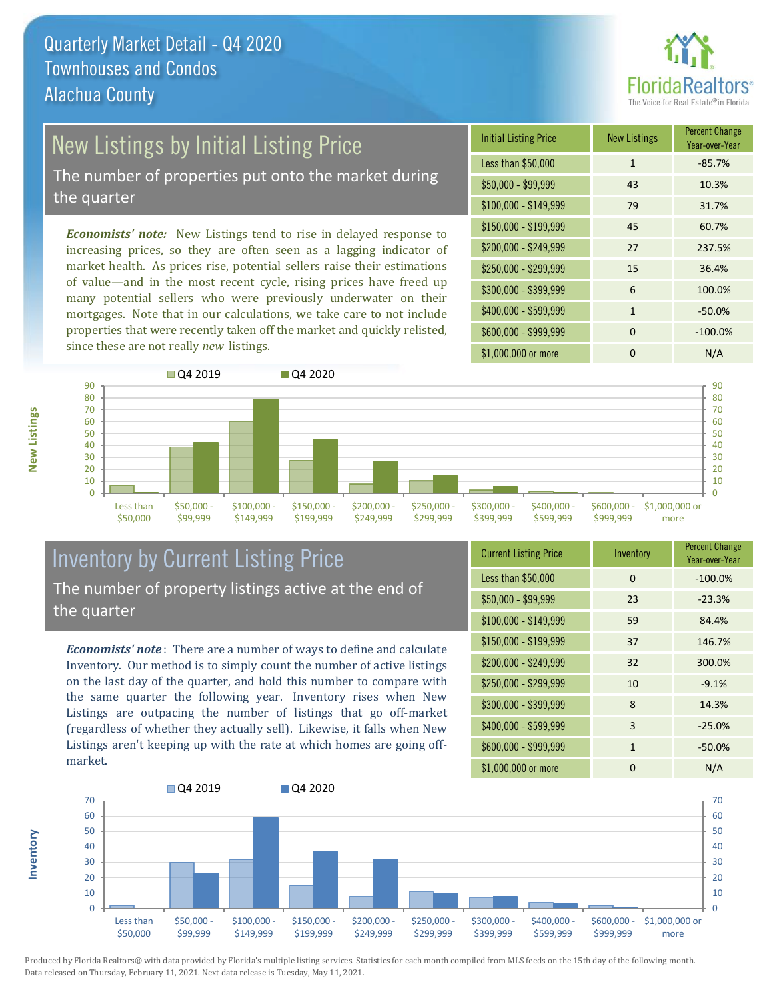

## New Listings by Initial Listing Price

The number of properties put onto the market during the quarter

*Economists' note:* New Listings tend to rise in delayed response to increasing prices, so they are often seen as a lagging indicator of market health. As prices rise, potential sellers raise their estimations of value—and in the most recent cycle, rising prices have freed up many potential sellers who were previously underwater on their mortgages. Note that in our calculations, we take care to not include properties that were recently taken off the market and quickly relisted, since these are not really *new* listings.

| <b>Initial Listing Price</b> | <b>New Listings</b> | <b>Percent Change</b><br>Year-over-Year |
|------------------------------|---------------------|-----------------------------------------|
| Less than \$50,000           | $\mathbf{1}$        | $-85.7%$                                |
| $$50,000 - $99,999$          | 43                  | 10.3%                                   |
| $$100,000 - $149,999$        | 79                  | 31.7%                                   |
| $$150,000 - $199,999$        | 45                  | 60.7%                                   |
| \$200,000 - \$249,999        | 27                  | 237.5%                                  |
| \$250,000 - \$299,999        | 15                  | 36.4%                                   |
| \$300,000 - \$399,999        | 6                   | 100.0%                                  |
| \$400,000 - \$599,999        | $\mathbf{1}$        | $-50.0%$                                |
| \$600,000 - \$999,999        | $\Omega$            | $-100.0%$                               |
| \$1,000,000 or more          | ŋ                   | N/A                                     |



### Inventory by Current Listing Price The number of property listings active at the end of the quarter

*Economists' note* : There are a number of ways to define and calculate Inventory. Our method is to simply count the number of active listings on the last day of the quarter, and hold this number to compare with the same quarter the following year. Inventory rises when New Listings are outpacing the number of listings that go off-market (regardless of whether they actually sell). Likewise, it falls when New Listings aren't keeping up with the rate at which homes are going offmarket.

| <b>Current Listing Price</b> | Inventory    | <b>Percent Change</b><br>Year-over-Year |
|------------------------------|--------------|-----------------------------------------|
| Less than \$50,000           | $\Omega$     | $-100.0%$                               |
| $$50,000 - $99,999$          | 23           | $-23.3%$                                |
| $$100,000 - $149,999$        | 59           | 84.4%                                   |
| $$150,000 - $199,999$        | 37           | 146.7%                                  |
| \$200,000 - \$249,999        | 32           | 300.0%                                  |
| \$250,000 - \$299,999        | 10           | $-9.1%$                                 |
| \$300,000 - \$399,999        | 8            | 14.3%                                   |
| \$400,000 - \$599,999        | 3            | $-25.0%$                                |
| \$600,000 - \$999,999        | $\mathbf{1}$ | $-50.0%$                                |
| \$1,000,000 or more          | 0            | N/A                                     |



**New Listings**

**Inventory**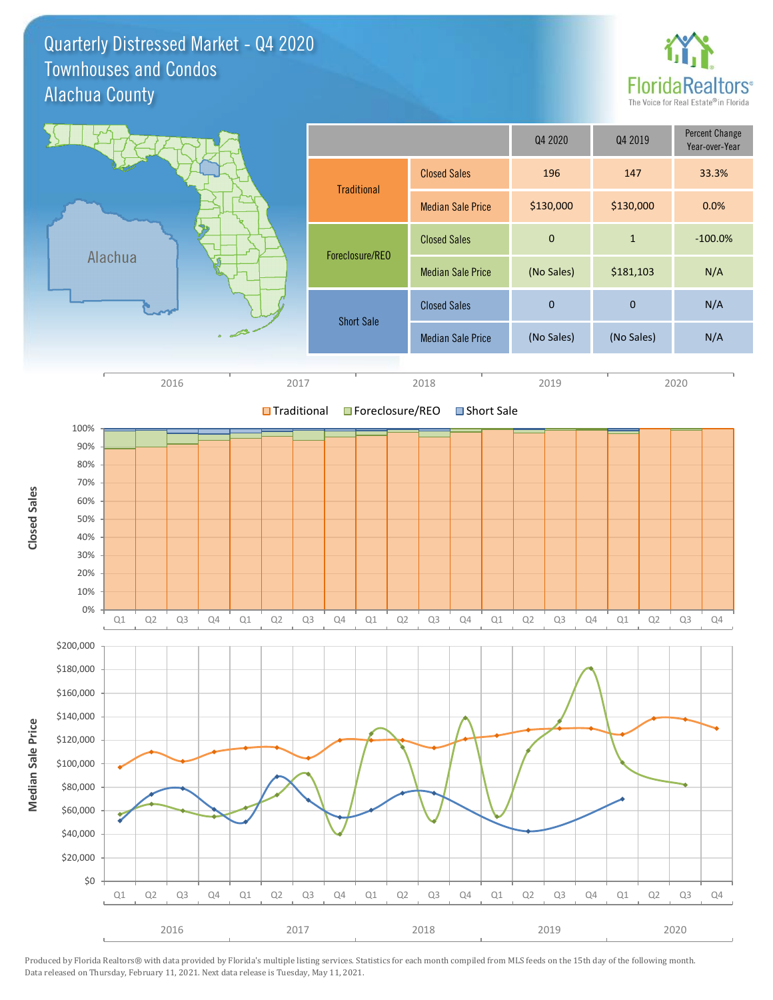Quarterly Distressed Market - Q4 2020 Alachua County Townhouses and Condos



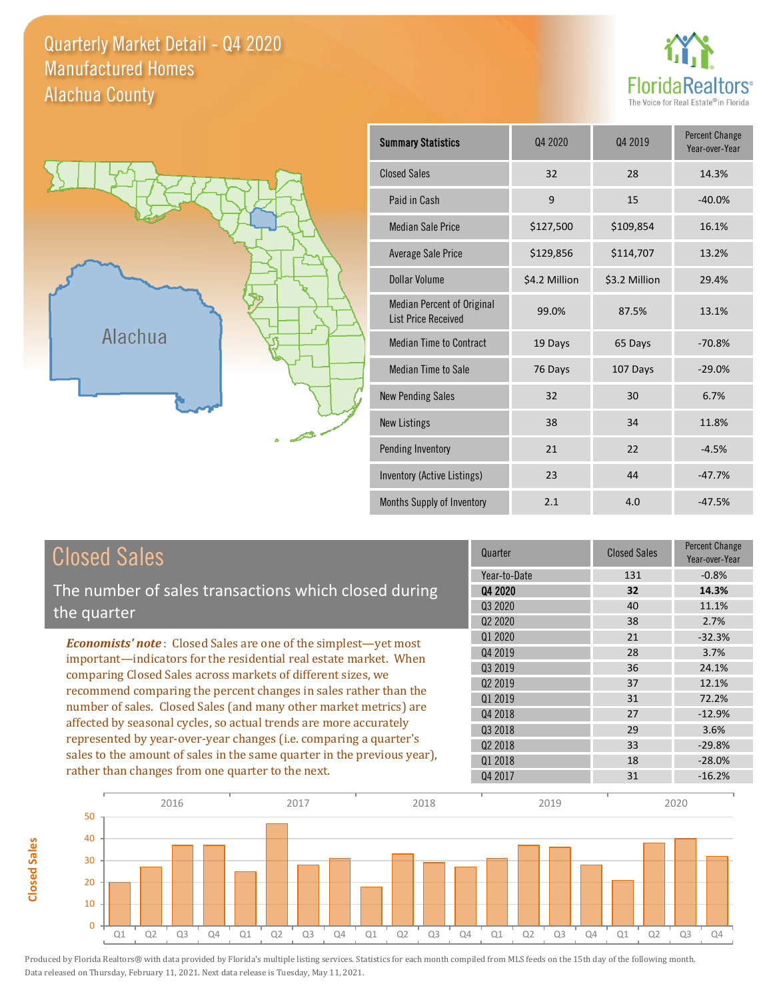Quarterly Market Detail - Q4 2020 Alachua County Manufactured Homes





**Closed Sales**

**Closed Sales** 

| <b>Summary Statistics</b>                                       | Q4 2020       | Q4 2019       | <b>Percent Change</b><br>Year-over-Year |
|-----------------------------------------------------------------|---------------|---------------|-----------------------------------------|
| <b>Closed Sales</b>                                             | 32            | 28            | 14.3%                                   |
| Paid in Cash                                                    | 9             | 15            | $-40.0%$                                |
| <b>Median Sale Price</b>                                        | \$127,500     | \$109,854     | 16.1%                                   |
| Average Sale Price                                              | \$129,856     | \$114,707     | 13.2%                                   |
| Dollar Volume                                                   | \$4.2 Million | \$3.2 Million | 29.4%                                   |
| <b>Median Percent of Original</b><br><b>List Price Received</b> | 99.0%         | 87.5%         | 13.1%                                   |
| <b>Median Time to Contract</b>                                  | 19 Days       | 65 Days       | $-70.8%$                                |
| <b>Median Time to Sale</b>                                      | 76 Days       | 107 Days      | $-29.0%$                                |
| <b>New Pending Sales</b>                                        | 32            | 30            | 6.7%                                    |
| <b>New Listings</b>                                             | 38            | 34            | 11.8%                                   |
| Pending Inventory                                               | 21            | 22            | $-4.5%$                                 |
| Inventory (Active Listings)                                     | 23            | 44            | $-47.7%$                                |
| Months Supply of Inventory                                      | 2.1           | 4.0           | $-47.5%$                                |

| <b>Closed Sales</b>                                                                                                              | Quarter      | <b>Closed Sales</b> | <b>Percent Change</b><br>Year-over-Year |
|----------------------------------------------------------------------------------------------------------------------------------|--------------|---------------------|-----------------------------------------|
|                                                                                                                                  | Year-to-Date | 131                 | $-0.8%$                                 |
| The number of sales transactions which closed during                                                                             | 04 2020      | 32                  | 14.3%                                   |
| the quarter                                                                                                                      | Q3 2020      | 40                  | 11.1%                                   |
|                                                                                                                                  | 02 2020      | 38                  | 2.7%                                    |
| <b>Economists' note:</b> Closed Sales are one of the simplest—yet most                                                           | 01 2020      | 21                  | $-32.3%$                                |
| important—indicators for the residential real estate market. When                                                                | Q4 2019      | 28                  | 3.7%                                    |
| comparing Closed Sales across markets of different sizes, we<br>recommend comparing the percent changes in sales rather than the | 03 2019      | 36                  | 24.1%                                   |
|                                                                                                                                  | 02 2019      | 37                  | 12.1%                                   |
|                                                                                                                                  | Q1 2019      | 31                  | 72.2%                                   |
| number of sales. Closed Sales (and many other market metrics) are                                                                | Q4 2018      | 27                  | $-12.9%$                                |
| affected by seasonal cycles, so actual trends are more accurately                                                                | 03 2018      | 29                  | 3.6%                                    |
| represented by year-over-year changes (i.e. comparing a quarter's                                                                | 02 2018      | 33                  | $-29.8%$                                |
| sales to the amount of sales in the same quarter in the previous year),                                                          | Q1 2018      | 18                  | $-28.0%$                                |
| rather than changes from one quarter to the next.                                                                                | Q4 2017      | 31                  | $-16.2%$                                |

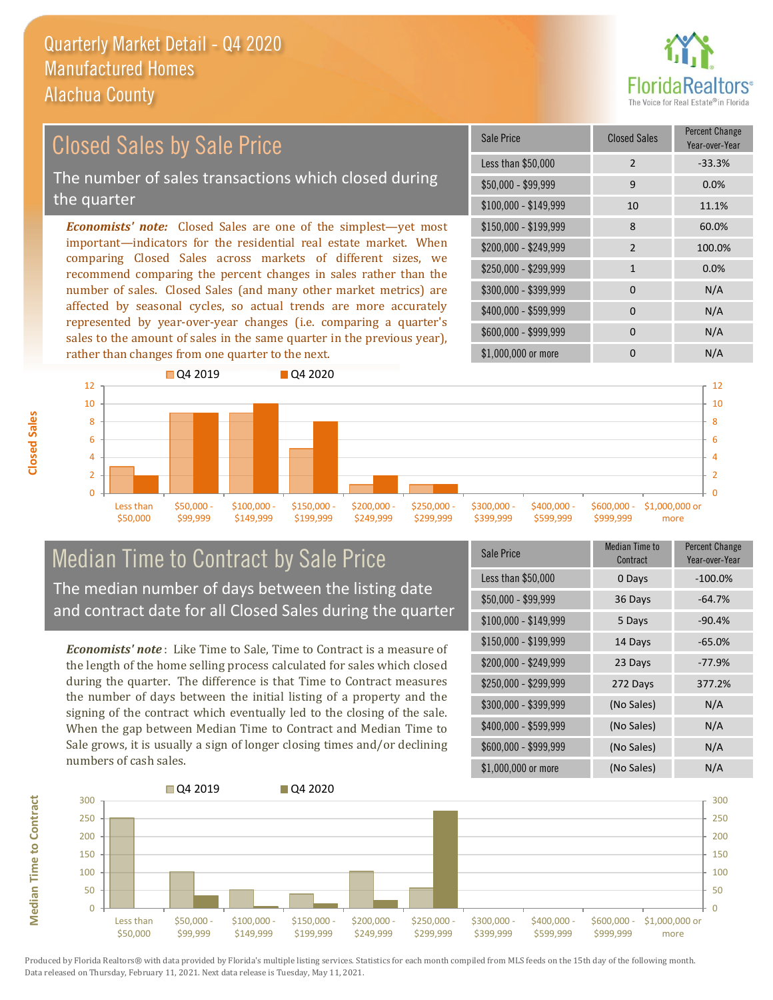

#### *Economists' note:* Closed Sales are one of the simplest—yet most important—indicators for the residential real estate market. When comparing Closed Sales across markets of different sizes, we recommend comparing the percent changes in sales rather than the number of sales. Closed Sales (and many other market metrics) are affected by seasonal cycles, so actual trends are more accurately represented by year-over-year changes (i.e. comparing a quarter's \$250,000 - \$299,999 1 0.0% \$300,000 - \$399,999 0 0 N/A  $$400,000 - $599,999$  0 N/A \$150,000 - \$199,999 8 60.0% \$200,000 - \$249,999 2 100.0%  $$100,000 - $149,999$  10 11.1% Sale Price Closed Sales Percent Change Year-over-Year Less than \$50,000 2 33.3%  $$50,000 - $99,999$  9 0.0% Closed Sales by Sale Price The number of sales transactions which closed during the quarter



#### Median Time to Contract by Sale Price The median number of days between the listing date and contract date for all Closed Sales during the quarter

sales to the amount of sales in the same quarter in the previous year),

rather than changes from one quarter to the next.

*Economists' note* : Like Time to Sale, Time to Contract is a measure of the length of the home selling process calculated for sales which closed during the quarter. The difference is that Time to Contract measures the number of days between the initial listing of a property and the signing of the contract which eventually led to the closing of the sale. When the gap between Median Time to Contract and Median Time to Sale grows, it is usually a sign of longer closing times and/or declining numbers of cash sales.

| Sale Price            | <b>Median Time to</b><br>Contract | <b>Percent Change</b><br>Year-over-Year |
|-----------------------|-----------------------------------|-----------------------------------------|
| Less than \$50,000    | 0 Days                            | $-100.0%$                               |
| $$50,000 - $99,999$   | 36 Days                           | $-64.7%$                                |
| $$100,000 - $149,999$ | 5 Days                            | $-90.4%$                                |
| $$150,000 - $199,999$ | 14 Days                           | $-65.0%$                                |
| \$200,000 - \$249,999 | 23 Days                           | $-77.9%$                                |
| \$250,000 - \$299,999 | 272 Days                          | 377.2%                                  |
| \$300,000 - \$399,999 | (No Sales)                        | N/A                                     |
| \$400,000 - \$599,999 | (No Sales)                        | N/A                                     |
| \$600,000 - \$999,999 | (No Sales)                        | N/A                                     |
| \$1,000,000 or more   | (No Sales)                        | N/A                                     |

\$1,000,000 or more 0 0 N/A

\$600,000 - \$999,999 0 0 N/A



**Closed Sales**

**Median Time to Contract Median Time to Contract**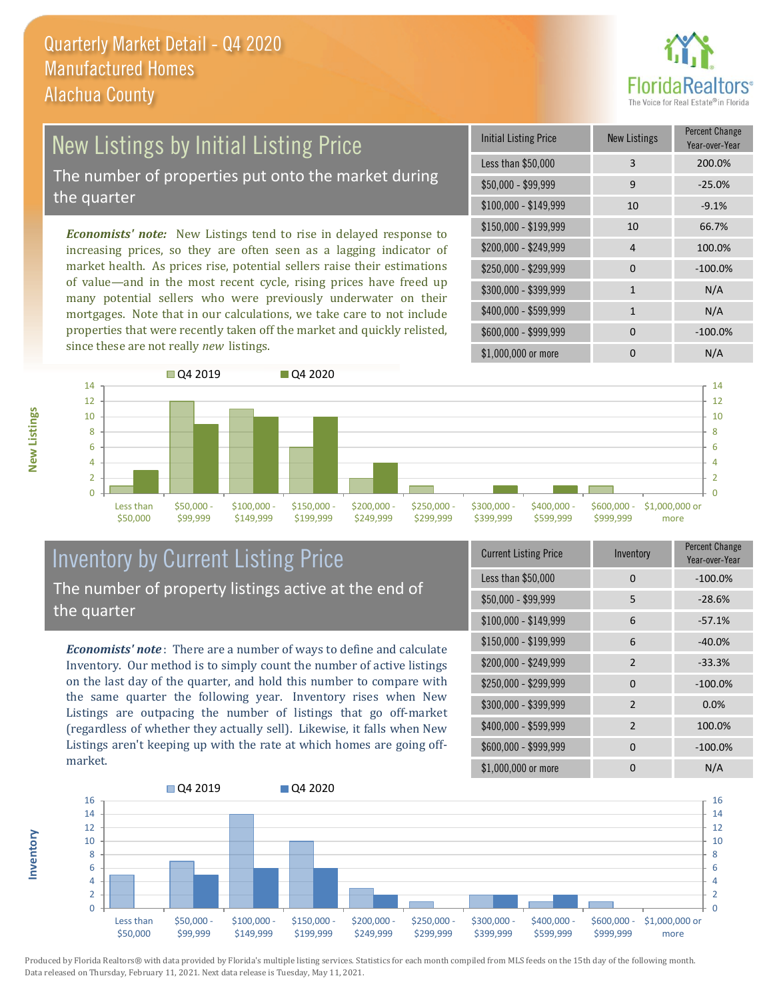

# New Listings by Initial Listing Price

The number of properties put onto the market during the quarter

*Economists' note:* New Listings tend to rise in delayed response to increasing prices, so they are often seen as a lagging indicator of market health. As prices rise, potential sellers raise their estimations of value—and in the most recent cycle, rising prices have freed up many potential sellers who were previously underwater on their mortgages. Note that in our calculations, we take care to not include properties that were recently taken off the market and quickly relisted, since these are not really *new* listings.

| <b>Initial Listing Price</b> | New Listings | <b>Percent Change</b><br>Year-over-Year |
|------------------------------|--------------|-----------------------------------------|
| Less than \$50,000           | 3            | 200.0%                                  |
| $$50,000 - $99,999$          | 9            | $-25.0%$                                |
| $$100,000 - $149,999$        | 10           | $-9.1%$                                 |
| $$150,000 - $199,999$        | 10           | 66.7%                                   |
| \$200,000 - \$249,999        | 4            | 100.0%                                  |
| \$250,000 - \$299,999        | $\Omega$     | $-100.0%$                               |
| \$300,000 - \$399,999        | $\mathbf{1}$ | N/A                                     |
| \$400,000 - \$599,999        | $\mathbf{1}$ | N/A                                     |
| \$600,000 - \$999,999        | <sup>0</sup> | $-100.0%$                               |
| \$1,000,000 or more          | n            | N/A                                     |



#### Inventory by Current Listing Price The number of property listings active at the end of the quarter

*Economists' note* : There are a number of ways to define and calculate Inventory. Our method is to simply count the number of active listings on the last day of the quarter, and hold this number to compare with the same quarter the following year. Inventory rises when New Listings are outpacing the number of listings that go off-market (regardless of whether they actually sell). Likewise, it falls when New Listings aren't keeping up with the rate at which homes are going offmarket.

| <b>Current Listing Price</b> | Inventory      | Percent Change<br>Year-over-Year |
|------------------------------|----------------|----------------------------------|
| Less than \$50,000           | $\Omega$       | $-100.0%$                        |
| $$50,000 - $99,999$          | 5              | $-28.6%$                         |
| $$100,000 - $149,999$        | 6              | $-57.1%$                         |
| $$150,000 - $199,999$        | 6              | $-40.0%$                         |
| \$200,000 - \$249,999        | $\mathcal{P}$  | $-33.3%$                         |
| \$250,000 - \$299,999        | $\Omega$       | $-100.0%$                        |
| \$300,000 - \$399,999        | 2              | 0.0%                             |
| \$400,000 - \$599,999        | $\overline{2}$ | 100.0%                           |
| \$600,000 - \$999,999        | $\Omega$       | $-100.0%$                        |
| \$1,000,000 or more          | ი              | N/A                              |



Produced by Florida Realtors® with data provided by Florida's multiple listing services. Statistics for each month compiled from MLS feeds on the 15th day of the following month. Data released on Thursday, February 11, 2021. Next data release is Tuesday, May 11, 2021.

**Inventory**